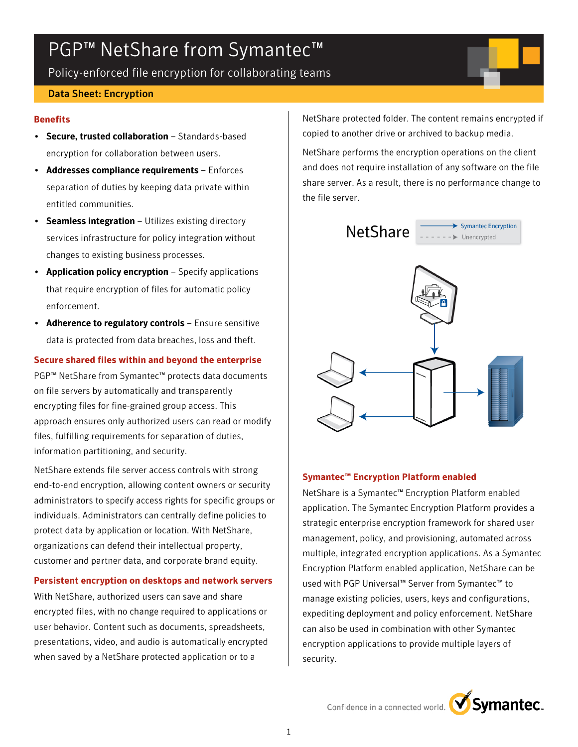# PGP<sup>™</sup> NetShare from Symantec<sup>™</sup>

Policy-enforced file encryption for collaborating teams

# Data Sheet: Encryption

## **Benefits**

- Secure, trusted collaboration Standards-based encryption for collaboration between users.
- Addresses compliance requirements Enforces separation of duties by keeping data private within entitled communities.
- Seamless integration Utilizes existing directory services infrastructure for policy integration without changes to existing business processes.
- Application policy encryption Specify applications that require encryption of files for automatic policy enforcement.
- Adherence to regulatory controls Ensure sensitive data is protected from data breaches, loss and theft.

# **Secure shared files within and beyond the enterprise**

PGP™ NetShare from Symantec™ protects data documents on file servers by automatically and transparently encrypting files for fine-grained group access. This approach ensures only authorized users can read or modify files, fulfilling requirements for separation of duties, information partitioning, and security.

NetShare extends file server access controls with strong end-to-end encryption, allowing content owners or security administrators to specify access rights for specific groups or individuals. Administrators can centrally define policies to protect data by application or location. With NetShare, organizations can defend their intellectual property, customer and partner data, and corporate brand equity.

# **Persistent encryption on desktops and network servers**

With NetShare, authorized users can save and share encrypted files, with no change required to applications or user behavior. Content such as documents, spreadsheets, presentations, video, and audio is automatically encrypted when saved by a NetShare protected application or to a

NetShare protected folder. The content remains encrypted if copied to another drive or archived to backup media.

NetShare performs the encryption operations on the client and does not require installation of any software on the file share server. As a result, there is no performance change to the file server.



# **Symantec™ Encryption Platform enabled**

NetShare is a Symantec™ Encryption Platform enabled application. The Symantec Encryption Platform provides a strategic enterprise encryption framework for shared user management, policy, and provisioning, automated across multiple, integrated encryption applications. As a Symantec Encryption Platform enabled application, NetShare can be used with PGP Universal™ Server from Symantec™ to manage existing policies, users, keys and configurations, expediting deployment and policy enforcement. NetShare can also be used in combination with other Symantec encryption applications to provide multiple layers of security.

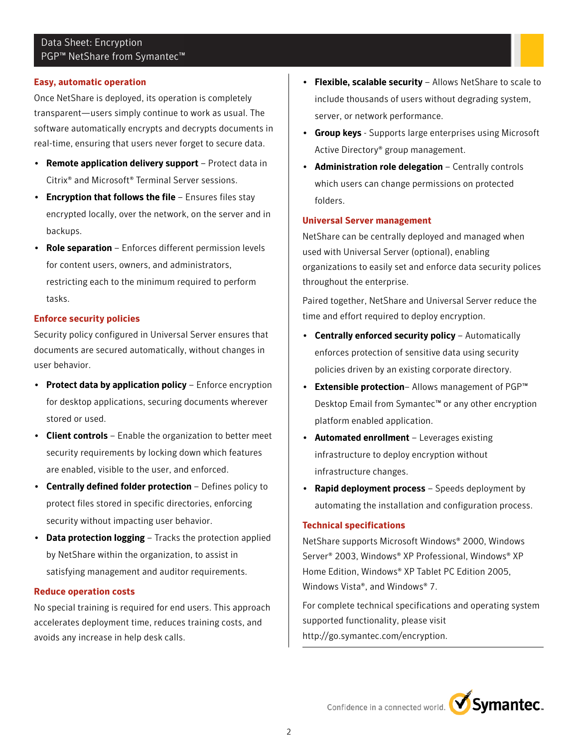# Data Sheet: Encryption PGP™ NetShare from Symantec™

## **Easy, automatic operation**

Once NetShare is deployed, its operation is completely transparent—users simply continue to work as usual. The software automatically encrypts and decrypts documents in real-time, ensuring that users never forget to secure data.

- Remote application delivery support Protect data in Citrix® and Microsoft® Terminal Server sessions.
- Encryption that follows the file Ensures files stay encrypted locally, over the network, on the server and in backups.
- Role separation Enforces different permission levels for content users, owners, and administrators, restricting each to the minimum required to perform tasks.

## **Enforce security policies**

Security policy configured in Universal Server ensures that documents are secured automatically, without changes in user behavior.

- Protect data by application policy Enforce encryption for desktop applications, securing documents wherever stored or used.
- Client controls Enable the organization to better meet security requirements by locking down which features are enabled, visible to the user, and enforced.
- Centrally defined folder protection Defines policy to protect files stored in specific directories, enforcing security without impacting user behavior.
- Data protection logging Tracks the protection applied by NetShare within the organization, to assist in satisfying management and auditor requirements.

#### **Reduce operation costs**

No special training is required for end users. This approach accelerates deployment time, reduces training costs, and avoids any increase in help desk calls.

- Flexible, scalable security Allows NetShare to scale to include thousands of users without degrading system, server, or network performance.
- Group keys Supports large enterprises using Microsoft Active Directory® group management.
- Administration role delegation Centrally controls which users can change permissions on protected folders.

#### **Universal Server management**

NetShare can be centrally deployed and managed when used with Universal Server (optional), enabling organizations to easily set and enforce data security polices throughout the enterprise.

Paired together, NetShare and Universal Server reduce the time and effort required to deploy encryption.

- Centrally enforced security policy Automatically enforces protection of sensitive data using security policies driven by an existing corporate directory.
- **Extensible protection** Allows management of PGP<sup>™</sup> Desktop Email from Symantec™ or any other encryption platform enabled application.
- Automated enrollment Leverages existing infrastructure to deploy encryption without infrastructure changes.
- Rapid deployment process Speeds deployment by automating the installation and configuration process.

#### **Technical specifications**

NetShare supports Microsoft Windows® 2000, Windows Server® 2003, Windows® XP Professional, Windows® XP Home Edition, Windows® XP Tablet PC Edition 2005, Windows Vista®, and Windows® 7.

For complete technical specifications and operating system supported functionality, please visit http://go.symantec.com/encryption.